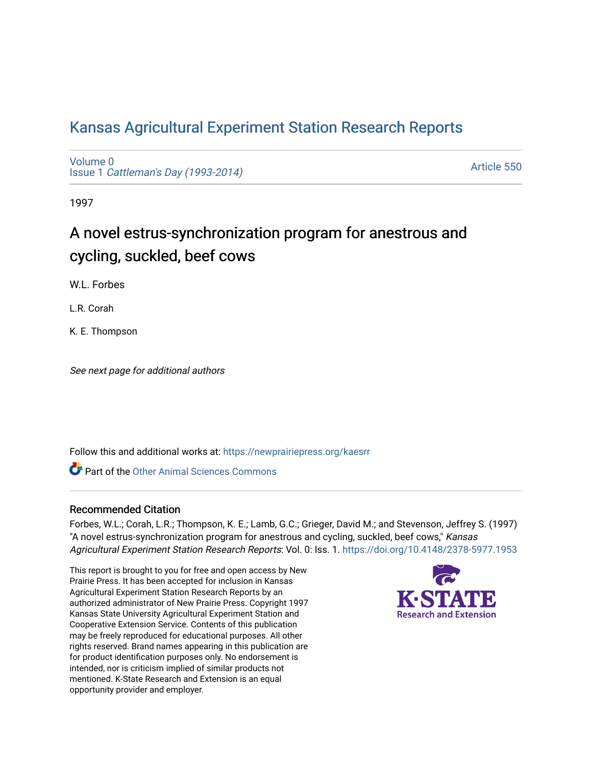# [Kansas Agricultural Experiment Station Research Reports](https://newprairiepress.org/kaesrr)

[Volume 0](https://newprairiepress.org/kaesrr/vol0) Issue 1 [Cattleman's Day \(1993-2014\)](https://newprairiepress.org/kaesrr/vol0/iss1) 

[Article 550](https://newprairiepress.org/kaesrr/vol0/iss1/550) 

1997

# A novel estrus-synchronization program for anestrous and cycling, suckled, beef cows

W.L. Forbes

L.R. Corah

K. E. Thompson

See next page for additional authors

Follow this and additional works at: [https://newprairiepress.org/kaesrr](https://newprairiepress.org/kaesrr?utm_source=newprairiepress.org%2Fkaesrr%2Fvol0%2Fiss1%2F550&utm_medium=PDF&utm_campaign=PDFCoverPages) 

**C** Part of the [Other Animal Sciences Commons](http://network.bepress.com/hgg/discipline/82?utm_source=newprairiepress.org%2Fkaesrr%2Fvol0%2Fiss1%2F550&utm_medium=PDF&utm_campaign=PDFCoverPages)

## Recommended Citation

Forbes, W.L.; Corah, L.R.; Thompson, K. E.; Lamb, G.C.; Grieger, David M.; and Stevenson, Jeffrey S. (1997) "A novel estrus-synchronization program for anestrous and cycling, suckled, beef cows," Kansas Agricultural Experiment Station Research Reports: Vol. 0: Iss. 1.<https://doi.org/10.4148/2378-5977.1953>

This report is brought to you for free and open access by New Prairie Press. It has been accepted for inclusion in Kansas Agricultural Experiment Station Research Reports by an authorized administrator of New Prairie Press. Copyright 1997 Kansas State University Agricultural Experiment Station and Cooperative Extension Service. Contents of this publication may be freely reproduced for educational purposes. All other rights reserved. Brand names appearing in this publication are for product identification purposes only. No endorsement is intended, nor is criticism implied of similar products not mentioned. K-State Research and Extension is an equal opportunity provider and employer.

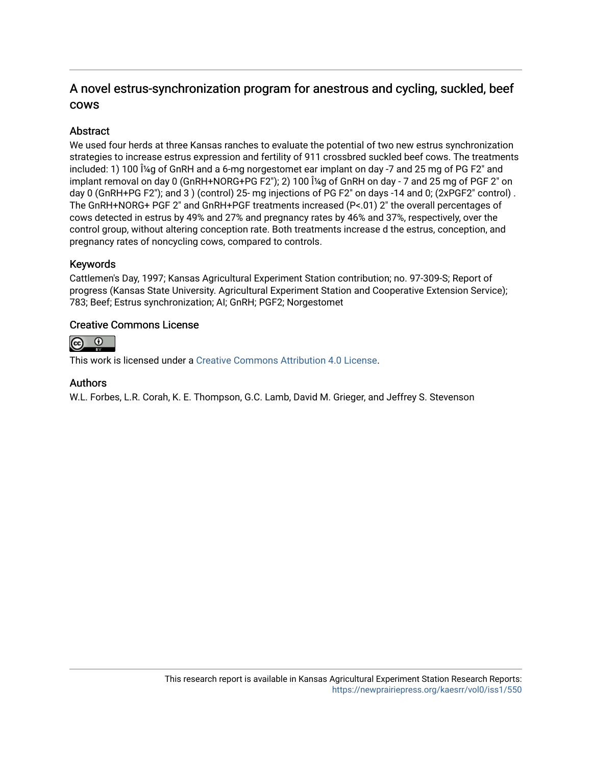# A novel estrus-synchronization program for anestrous and cycling, suckled, beef cows

# **Abstract**

We used four herds at three Kansas ranches to evaluate the potential of two new estrus synchronization strategies to increase estrus expression and fertility of 911 crossbred suckled beef cows. The treatments included: 1) 100 μg of GnRH and a 6-mg norgestomet ear implant on day -7 and 25 mg of PG F2" and implant removal on day 0 (GnRH+NORG+PG F2"); 2) 100  $\hat{I}$ <sup> $\alpha$ </sup> of GnRH on day - 7 and 25 mg of PGF 2" on day 0 (GnRH+PG F2"); and 3 ) (control) 25- mg injections of PG F2" on days -14 and 0; (2xPGF2" control) . The GnRH+NORG+ PGF 2" and GnRH+PGF treatments increased (P<.01) 2" the overall percentages of cows detected in estrus by 49% and 27% and pregnancy rates by 46% and 37%, respectively, over the control group, without altering conception rate. Both treatments increase d the estrus, conception, and pregnancy rates of noncycling cows, compared to controls.

# Keywords

Cattlemen's Day, 1997; Kansas Agricultural Experiment Station contribution; no. 97-309-S; Report of progress (Kansas State University. Agricultural Experiment Station and Cooperative Extension Service); 783; Beef; Estrus synchronization; AI; GnRH; PGF2; Norgestomet

# Creative Commons License



This work is licensed under a [Creative Commons Attribution 4.0 License](https://creativecommons.org/licenses/by/4.0/).

## Authors

W.L. Forbes, L.R. Corah, K. E. Thompson, G.C. Lamb, David M. Grieger, and Jeffrey S. Stevenson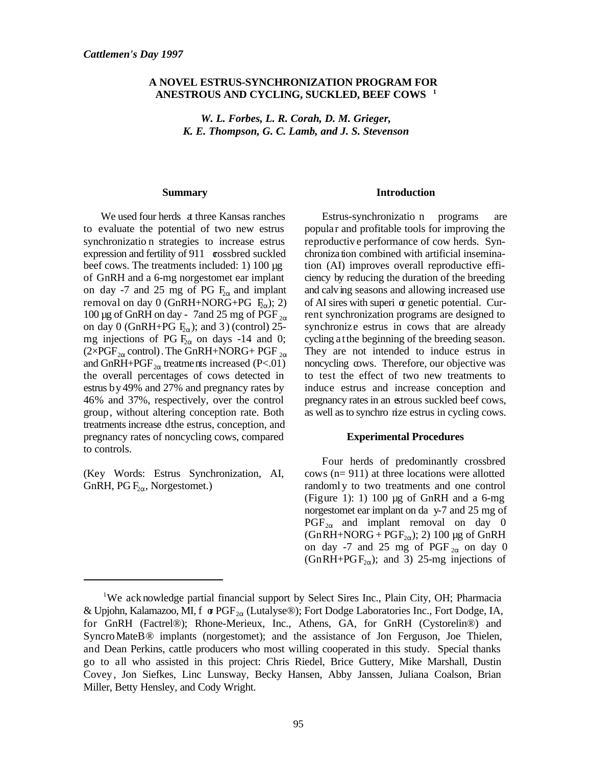#### **A NOVEL ESTRUS-SYNCHRONIZATION PROGRAM FOR ANESTROUS AND CYCLING, SUCKLED, BEEF COWS <sup>1</sup>**

*W. L. Forbes, L. R. Corah, D. M. Grieger, K. E. Thompson, G. C. Lamb, and J. S. Stevenson*

#### **Summary**

We used four herds at three Kansas ranches to evaluate the potential of two new estrus synchronizatio n strategies to increase estrus expression and fertility of 911 crossbred suckled beef cows. The treatments included: 1) 100 µg of GnRH and a 6-mg norgestomet ear implant on day -7 and 25 mg of PG  $F_2$  and implant removal on day 0 (GnRH+NORG+PG  $F_{\alpha}$ ); 2) 100 µg of GnRH on day - 7 and 25 mg of PGF  $_{2\alpha}$ on day 0 (GnRH+PG  $F_2(x)$ ; and 3) (control) 25mg injections of PG  $F_{2\alpha}$  on days -14 and 0; (2×PGF<sub>2 $\alpha$ </sub> control). The GnRH+NORG+ PGF  $_{2\alpha}$ and GnRH+PGF $_{2\alpha}$  treatments increased (P<.01) the overall percentages of cows detected in estrus by 49% and 27% and pregnancy rates by 46% and 37%, respectively, over the control group, without altering conception rate. Both treatments increase dthe estrus, conception, and pregnancy rates of noncycling cows, compared to controls.

(Key Words: Estrus Synchronization, AI, GnRH, PG  $F_{2\alpha}$ , Norgestomet.)

#### **Introduction**

Estrus-synchronizatio n programs are popular and profitable tools for improving the reproductiv e performance of cow herds. Synchronization combined with artificial insemination (AI) improves overall reproductive efficiency by reducing the duration of the breeding and calving seasons and allowing increased use of AI sires with superi or genetic potential. Current synchronization programs are designed to synchronize estrus in cows that are already cycling at the beginning of the breeding season. They are not intended to induce estrus in noncycling cows. Therefore, our objective was to test the effect of two new treatments to induce estrus and increase conception and pregnancy rates in an estrous suckled beef cows, as well as to synchro nize estrus in cycling cows.

#### **Experimental Procedures**

Four herds of predominantly crossbred cows (n= 911) at three locations were allotted randoml y to two treatments and one control (Figure 1): 1) 100  $\mu$ g of GnRH and a 6-mg norgestomet ear implant on da y-7 and 25 mg of  $PGF_{2\alpha}$  and implant removal on day 0  $(GnRH+NORG + PGF<sub>2\alpha</sub>)$ ; 2) 100 µg of GnRH on day -7 and 25 mg of PGF  $_{2\alpha}$  on day 0 (GnRH+PGF<sub>2 $\alpha$ </sub>); and 3) 25-mg injections of

<sup>&</sup>lt;sup>1</sup>We ack nowledge partial financial support by Select Sires Inc., Plain City, OH; Pharmacia & Upjohn, Kalamazoo, MI, f  $\sigma PGF_{2\alpha}$  (Lutalyse®); Fort Dodge Laboratories Inc., Fort Dodge, IA, for GnRH (Factrel®); Rhone-Merieux, Inc., Athens, GA, for GnRH (Cystorelin®) and SyncroMateB® implants (norgestomet); and the assistance of Jon Ferguson, Joe Thielen, and Dean Perkins, cattle producers who most willing cooperated in this study. Special thanks go to all who assisted in this project: Chris Riedel, Brice Guttery, Mike Marshall, Dustin Covey, Jon Siefkes, Linc Lunsway, Becky Hansen, Abby Janssen, Juliana Coalson, Brian Miller, Betty Hensley, and Cody Wright.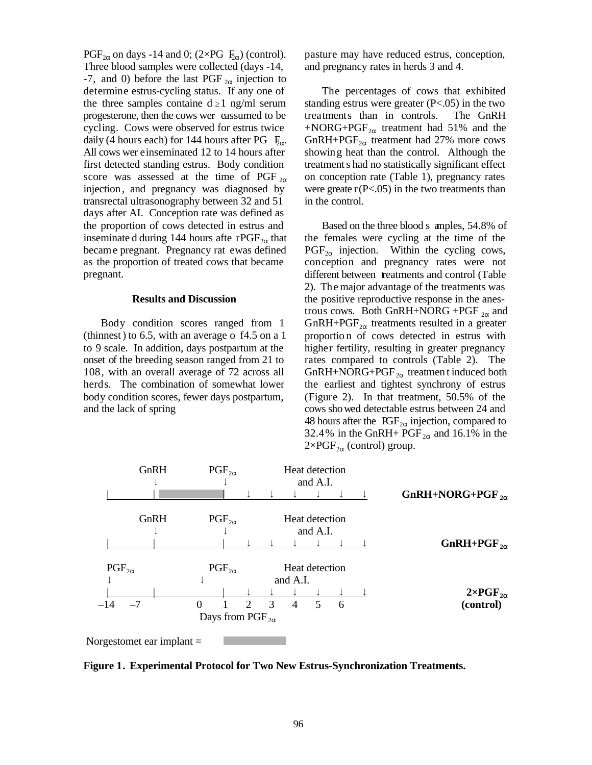PGF<sub>2 $\alpha$ </sub> on days -14 and 0; (2×PG  $F_{\alpha}$ ) (control). Three blood samples were collected (days -14, -7, and 0) before the last PGF  $_{2\alpha}$  injection to determine estrus-cycling status. If any one of the three samples containe  $d \ge 1$  ng/ml serum progesterone, then the cows wer eassumed to be cycling. Cows were observed for estrus twice daily (4 hours each) for 144 hours after PG  $F_{\alpha}$ . All cows wer e inseminated 12 to 14 hours after first detected standing estrus. Body condition score was assessed at the time of PGF  $_{2\alpha}$ injection , and pregnancy was diagnosed by transrectal ultrasonography between 32 and 51 days after AI. Conception rate was defined as the proportion of cows detected in estrus and inseminate d during 144 hours afte rPGF $_{2\alpha}$  that became pregnant. Pregnancy rat ewas defined as the proportion of treated cows that became pregnant.

#### **Results and Discussion**

Body condition scores ranged from 1 (thinnest) to 6.5, with an average o  $f4.5$  on a 1 to 9 scale. In addition, days postpartum at the onset of the breeding season ranged from 21 to 108, with an overall average of 72 across all herds. The combination of somewhat lower body condition scores, fewer days postpartum, and the lack of spring

pasture may have reduced estrus, conception, and pregnancy rates in herds 3 and 4.

The percentages of cows that exhibited standing estrus were greater  $(P<.05)$  in the two treatments than in controls. The GnRH +NORG+PGF $_{2\alpha}$  treatment had 51% and the GnRH+PGF $_{2\alpha}$  treatment had 27% more cows showing heat than the control. Although the treatment s had no statistically significant effect on conception rate (Table 1), pregnancy rates were greate  $r(P<.05)$  in the two treatments than in the control.

Based on the three blood s amples, 54.8% of the females were cycling at the time of the  $PGF_{2\alpha}$  injection. Within the cycling cows, conception and pregnancy rates were not different between treatments and control (Table 2). The major advantage of the treatments was the positive reproductive response in the anestrous cows. Both GnRH+NORG +PGF  $_{2\alpha}$  and GnRH+PGF<sub>2 $\alpha$ </sub> treatments resulted in a greater proportio n of cows detected in estrus with higher fertility, resulting in greater pregnancy rates compared to controls (Table 2). The GnRH+NORG+PGF $_{2\alpha}$  treatmen t induced both the earliest and tightest synchrony of estrus (Figure 2). In that treatment, 50.5% of the cows sho wed detectable estrus between 24 and 48 hours after the  $\text{IGF}_{2\alpha}$  injection, compared to 32.4% in the GnRH+  $\text{PGF}_{2\alpha}$  and 16.1% in the  $2\times PGF_{2\alpha}$  (control) group.



**Figure 1. Experimental Protocol for Two New Estrus-Synchronization Treatments.**